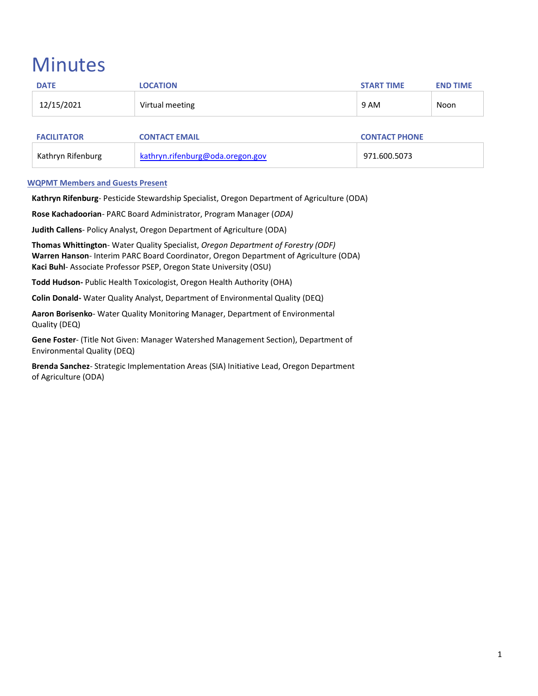# **Minutes**

| <b>DATE</b>        | <b>LOCATION</b>                  | <b>START TIME</b>    | <b>END TIME</b> |
|--------------------|----------------------------------|----------------------|-----------------|
| 12/15/2021         | Virtual meeting                  | 9 AM                 | Noon            |
|                    |                                  |                      |                 |
| <b>FACILITATOR</b> | <b>CONTACT EMAIL</b>             | <b>CONTACT PHONE</b> |                 |
| Kathryn Rifenburg  | kathryn.rifenburg@oda.oregon.gov | 971.600.5073         |                 |

## **WQPMT Members and Guests Present**

**Kathryn Rifenburg**- Pesticide Stewardship Specialist, Oregon Department of Agriculture (ODA)

**Rose Kachadoorian**- PARC Board Administrator, Program Manager (*ODA)*

**Judith Callens**- Policy Analyst, Oregon Department of Agriculture (ODA)

**Thomas Whittington**- Water Quality Specialist, *Oregon Department of Forestry (ODF)* **Warren Hanson**- Interim PARC Board Coordinator, Oregon Department of Agriculture (ODA) **Kaci Buhl**- Associate Professor PSEP, Oregon State University (OSU)

**Todd Hudson-** Public Health Toxicologist, Oregon Health Authority (OHA)

**Colin Donald-** Water Quality Analyst, Department of Environmental Quality (DEQ)

**Aaron Borisenko**- Water Quality Monitoring Manager, Department of Environmental Quality (DEQ)

**Gene Foster**- (Title Not Given: Manager Watershed Management Section), Department of Environmental Quality (DEQ)

**Brenda Sanchez**- Strategic Implementation Areas (SIA) Initiative Lead, Oregon Department of Agriculture (ODA)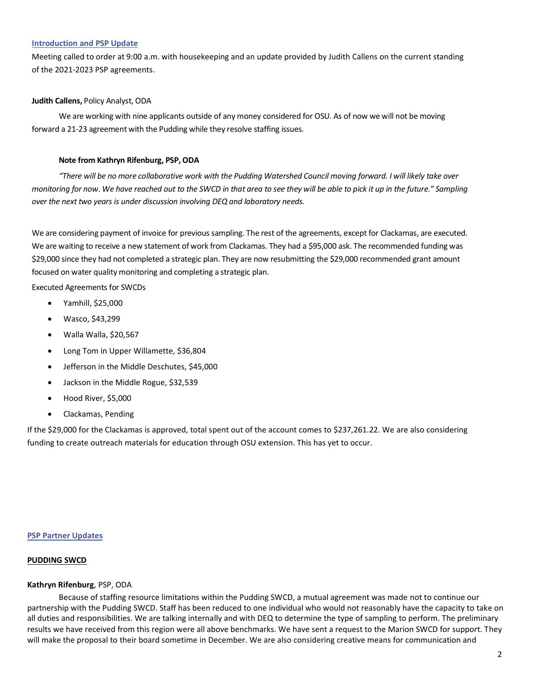#### **Introduction and PSP Update**

Meeting called to order at 9:00 a.m. with housekeeping and an update provided by Judith Callens on the current standing of the 2021-2023 PSP agreements.

### **Judith Callens,** Policy Analyst, ODA

We are working with nine applicants outside of any money considered for OSU. As of now we will not be moving forward a 21-23 agreement with the Pudding while they resolve staffing issues.

## **Note from Kathryn Rifenburg, PSP, ODA**

*"There will be no more collaborative work with the Pudding Watershed Council moving forward. I will likely take over monitoring for now. We have reached out to the SWCD in that area to see they will be able to pick it up in the future." Sampling over the next two years is under discussion involving DEQ and laboratory needs.*

We are considering payment of invoice for previous sampling. The rest of the agreements, except for Clackamas, are executed. We are waiting to receive a new statement of work from Clackamas. They had a \$95,000 ask. The recommended funding was \$29,000 since they had not completed a strategic plan. They are now resubmitting the \$29,000 recommended grant amount focused on water quality monitoring and completing a strategic plan.

Executed Agreements for SWCDs

- Yamhill, \$25,000
- Wasco, \$43,299
- Walla Walla, \$20,567
- Long Tom in Upper Willamette, \$36,804
- Jefferson in the Middle Deschutes, \$45,000
- Jackson in the Middle Rogue, \$32,539
- Hood River, \$5,000
- Clackamas, Pending

If the \$29,000 for the Clackamas is approved, total spent out of the account comes to \$237,261.22. We are also considering funding to create outreach materials for education through OSU extension. This has yet to occur.

#### **PSP Partner Updates**

## **PUDDING SWCD**

#### **Kathryn Rifenburg**, PSP, ODA

Because of staffing resource limitations within the Pudding SWCD, a mutual agreement was made not to continue our partnership with the Pudding SWCD. Staff has been reduced to one individual who would not reasonably have the capacity to take on all duties and responsibilities. We are talking internally and with DEQ to determine the type of sampling to perform. The preliminary results we have received from this region were all above benchmarks. We have sent a request to the Marion SWCD for support. They will make the proposal to their board sometime in December. We are also considering creative means for communication and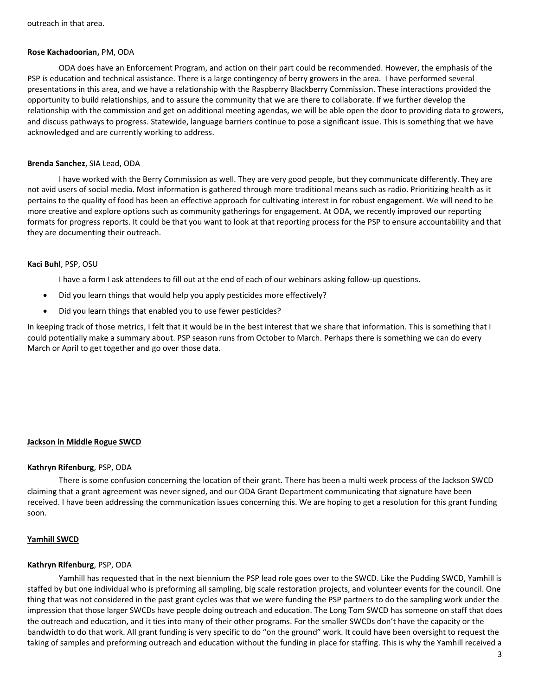#### **Rose Kachadoorian,** PM, ODA

ODA does have an Enforcement Program, and action on their part could be recommended. However, the emphasis of the PSP is education and technical assistance. There is a large contingency of berry growers in the area. I have performed several presentations in this area, and we have a relationship with the Raspberry Blackberry Commission. These interactions provided the opportunity to build relationships, and to assure the community that we are there to collaborate. If we further develop the relationship with the commission and get on additional meeting agendas, we will be able open the door to providing data to growers, and discuss pathways to progress. Statewide, language barriers continue to pose a significant issue. This is something that we have acknowledged and are currently working to address.

#### **Brenda Sanchez**, SIA Lead, ODA

I have worked with the Berry Commission as well. They are very good people, but they communicate differently. They are not avid users of social media. Most information is gathered through more traditional means such as radio. Prioritizing health as it pertains to the quality of food has been an effective approach for cultivating interest in for robust engagement. We will need to be more creative and explore options such as community gatherings for engagement. At ODA, we recently improved our reporting formats for progress reports. It could be that you want to look at that reporting process for the PSP to ensure accountability and that they are documenting their outreach.

#### **Kaci Buhl**, PSP, OSU

I have a form I ask attendees to fill out at the end of each of our webinars asking follow-up questions.

- Did you learn things that would help you apply pesticides more effectively?
- Did you learn things that enabled you to use fewer pesticides?

In keeping track of those metrics, I felt that it would be in the best interest that we share that information. This is something that I could potentially make a summary about. PSP season runs from October to March. Perhaps there is something we can do every March or April to get together and go over those data.

#### **Jackson in Middle Rogue SWCD**

#### **Kathryn Rifenburg**, PSP, ODA

There is some confusion concerning the location of their grant. There has been a multi week process of the Jackson SWCD claiming that a grant agreement was never signed, and our ODA Grant Department communicating that signature have been received. I have been addressing the communication issues concerning this. We are hoping to get a resolution for this grant funding soon.

#### **Yamhill SWCD**

#### **Kathryn Rifenburg**, PSP, ODA

Yamhill has requested that in the next biennium the PSP lead role goes over to the SWCD. Like the Pudding SWCD, Yamhill is staffed by but one individual who is preforming all sampling, big scale restoration projects, and volunteer events for the council. One thing that was not considered in the past grant cycles was that we were funding the PSP partners to do the sampling work under the impression that those larger SWCDs have people doing outreach and education. The Long Tom SWCD has someone on staff that does the outreach and education, and it ties into many of their other programs. For the smaller SWCDs don't have the capacity or the bandwidth to do that work. All grant funding is very specific to do "on the ground" work. It could have been oversight to request the taking of samples and preforming outreach and education without the funding in place for staffing. This is why the Yamhill received a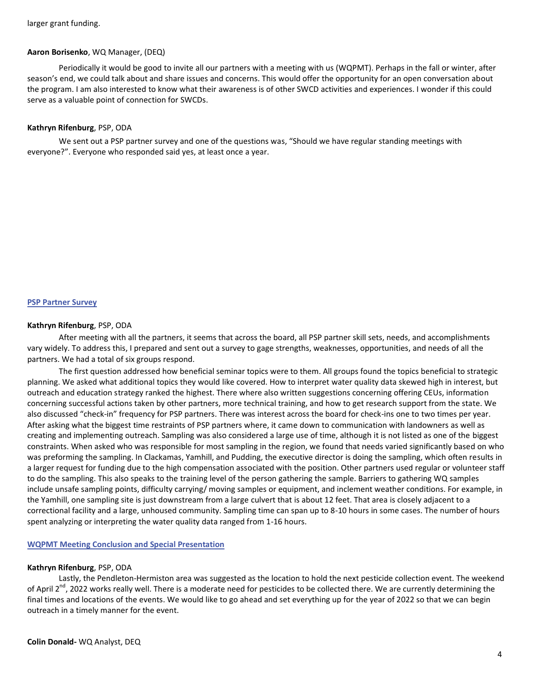#### **Aaron Borisenko**, WQ Manager, (DEQ)

Periodically it would be good to invite all our partners with a meeting with us (WQPMT). Perhaps in the fall or winter, after season's end, we could talk about and share issues and concerns. This would offer the opportunity for an open conversation about the program. I am also interested to know what their awareness is of other SWCD activities and experiences. I wonder if this could serve as a valuable point of connection for SWCDs.

### **Kathryn Rifenburg**, PSP, ODA

We sent out a PSP partner survey and one of the questions was, "Should we have regular standing meetings with everyone?". Everyone who responded said yes, at least once a year.

#### **PSP Partner Survey**

#### **Kathryn Rifenburg**, PSP, ODA

After meeting with all the partners, it seems that across the board, all PSP partner skill sets, needs, and accomplishments vary widely. To address this, I prepared and sent out a survey to gage strengths, weaknesses, opportunities, and needs of all the partners. We had a total of six groups respond.

The first question addressed how beneficial seminar topics were to them. All groups found the topics beneficial to strategic planning. We asked what additional topics they would like covered. How to interpret water quality data skewed high in interest, but outreach and education strategy ranked the highest. There where also written suggestions concerning offering CEUs, information concerning successful actions taken by other partners, more technical training, and how to get research support from the state. We also discussed "check-in" frequency for PSP partners. There was interest across the board for check-ins one to two times per year. After asking what the biggest time restraints of PSP partners where, it came down to communication with landowners as well as creating and implementing outreach. Sampling was also considered a large use of time, although it is not listed as one of the biggest constraints. When asked who was responsible for most sampling in the region, we found that needs varied significantly based on who was preforming the sampling. In Clackamas, Yamhill, and Pudding, the executive director is doing the sampling, which often results in a larger request for funding due to the high compensation associated with the position. Other partners used regular or volunteer staff to do the sampling. This also speaks to the training level of the person gathering the sample. Barriers to gathering WQ samples include unsafe sampling points, difficulty carrying/ moving samples or equipment, and inclement weather conditions. For example, in the Yamhill, one sampling site is just downstream from a large culvert that is about 12 feet. That area is closely adjacent to a correctional facility and a large, unhoused community. Sampling time can span up to 8-10 hours in some cases. The number of hours spent analyzing or interpreting the water quality data ranged from 1-16 hours.

**WQPMT Meeting Conclusion and Special Presentation**

#### **Kathryn Rifenburg**, PSP, ODA

Lastly, the Pendleton-Hermiston area was suggested as the location to hold the next pesticide collection event. The weekend of April 2<sup>nd</sup>, 2022 works really well. There is a moderate need for pesticides to be collected there. We are currently determining the final times and locations of the events. We would like to go ahead and set everything up for the year of 2022 so that we can begin outreach in a timely manner for the event.